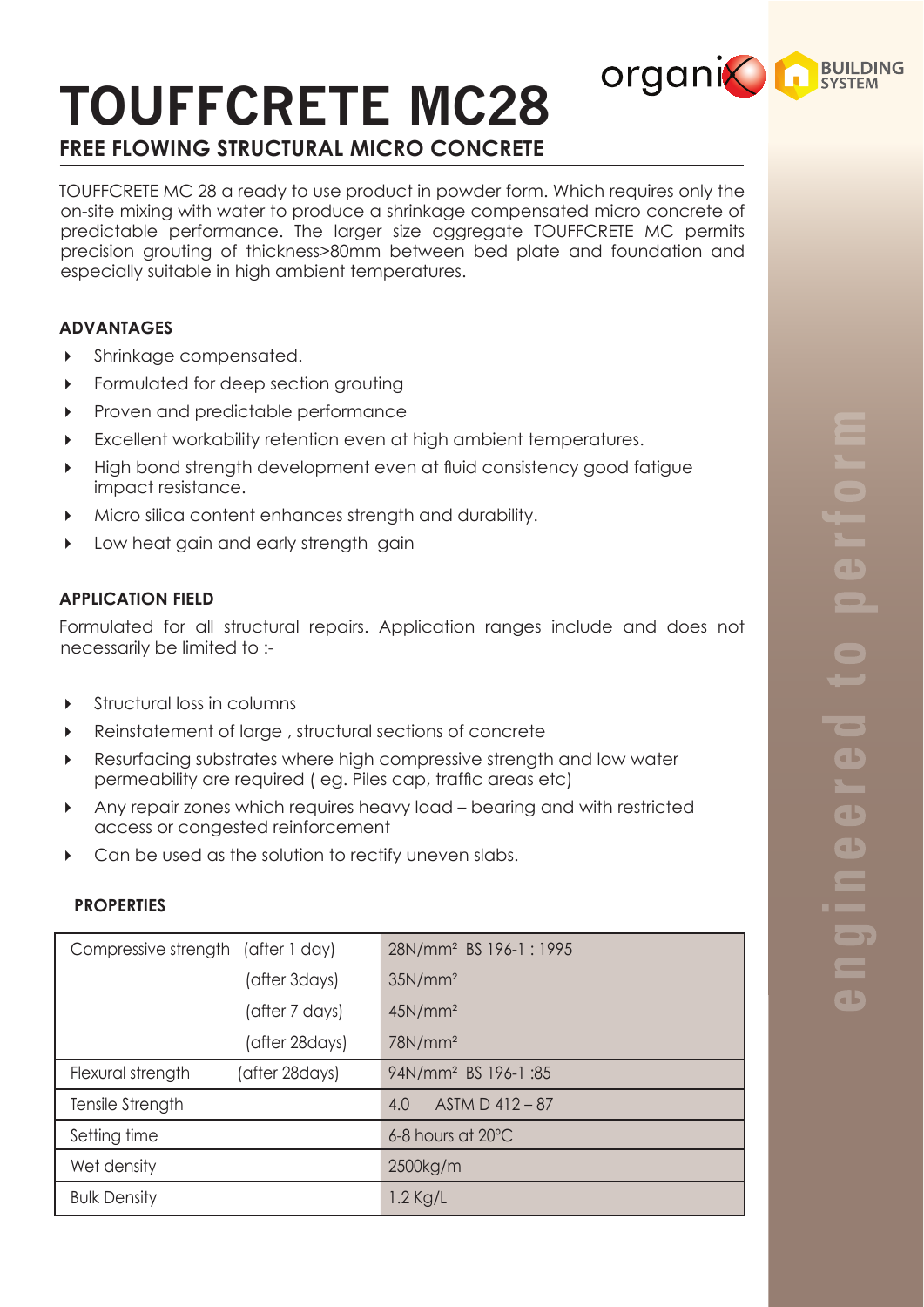# **TOUFFCRETE MC28 FREE FLOWING STRUCTURAL MICRO CONCRETE**

TOUFFCRETE MC 28 a ready to use product in powder form. Which requires only the on-site mixing with water to produce a shrinkage compensated micro concrete of predictable performance. The larger size aggregate TOUFFCRETE MC permits precision grouting of thickness>80mm between bed plate and foundation and especially suitable in high ambient temperatures.

## **ADVANTAGES**

- **Shrinkage compensated.**
- Formulated for deep section grouting
- Proven and predictable performance
- Excellent workability retention even at high ambient temperatures.
- High bond strength development even at fluid consistency good fatigue impact resistance.
- Micro silica content enhances strength and durability.
- **Low heat gain and early strength gain**

## **APPLICATION FIELD**

Formulated for all structural repairs. Application ranges include and does not necessarily be limited to :-

- Structural loss in columns
- Reinstatement of large , structural sections of concrete
- Resurfacing substrates where high compressive strength and low water permeability are required ( eg. Piles cap, traffic areas etc)
- Any repair zones which requires heavy load bearing and with restricted access or congested reinforcement
- Can be used as the solution to rectify uneven slabs.

#### **PROPERTIES**

| Compressive strength (after 1 day) |                 | 28N/mm <sup>2</sup> BS 196-1:1995 |
|------------------------------------|-----------------|-----------------------------------|
|                                    | (after 3days)   | 35N/mm <sup>2</sup>               |
|                                    | (after 7 days)  | 45N/mm <sup>2</sup>               |
|                                    | (after 28 days) | 78N/mm <sup>2</sup>               |
| Flexural strength                  | (after 28days)  | 94N/mm <sup>2</sup> BS 196-1:85   |
| Tensile Strength                   |                 | ASTM D 412-87<br>4.0              |
| Setting time                       |                 | 6-8 hours at 20°C                 |
| Wet density                        |                 | 2500kg/m                          |
| <b>Bulk Density</b>                |                 | $1.2$ Kg/L                        |